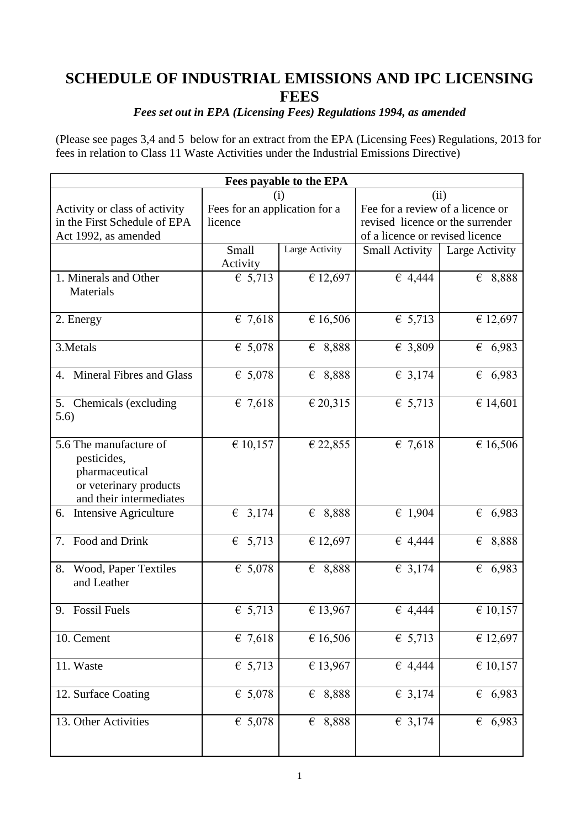## **SCHEDULE OF INDUSTRIAL EMISSIONS AND IPC LICENSING FEES**

### *Fees set out in EPA (Licensing Fees) Regulations 1994, as amended*

(Please see pages 3,4 and 5 below for an extract from the EPA (Licensing Fees) Regulations, 2013 for fees in relation to Class 11 Waste Activities under the Industrial Emissions Directive)

| Fees payable to the EPA                                                                                      |                                          |                  |                                                                                                         |                |  |
|--------------------------------------------------------------------------------------------------------------|------------------------------------------|------------------|---------------------------------------------------------------------------------------------------------|----------------|--|
| (ii)<br>(i)                                                                                                  |                                          |                  |                                                                                                         |                |  |
| Activity or class of activity<br>in the First Schedule of EPA<br>Act 1992, as amended                        | Fees for an application for a<br>licence |                  | Fee for a review of a licence or<br>revised licence or the surrender<br>of a licence or revised licence |                |  |
|                                                                                                              | Small<br>Activity                        | Large Activity   | <b>Small Activity</b>                                                                                   | Large Activity |  |
| 1. Minerals and Other<br>Materials                                                                           | \$5,713                                  | € 12,697         | € 4,444                                                                                                 | & 8,888        |  |
| 2. Energy                                                                                                    | € 7,618                                  | € 16,506         | € 5,713                                                                                                 | € 12,697       |  |
| 3. Metals                                                                                                    | \$5,078                                  | € 8,888          | € 3,809                                                                                                 | 6,983          |  |
| <b>Mineral Fibres and Glass</b><br>4.                                                                        | € 5,078                                  | € 8,888          | $\epsilon$ 3,174                                                                                        | 6,983          |  |
| 5. Chemicals (excluding<br>5.6)                                                                              | € 7,618                                  | € 20,315         | \$5,713                                                                                                 | € 14,601       |  |
| 5.6 The manufacture of<br>pesticides,<br>pharmaceutical<br>or veterinary products<br>and their intermediates | € 10,157                                 | € 22,855         | $\overline{6}$ 7,618                                                                                    | € 16,506       |  |
| Intensive Agriculture<br>6.                                                                                  | $\epsilon$ 3,174                         | € 8,888          | £ 1,904                                                                                                 | 6,983          |  |
| Food and Drink<br>7.                                                                                         | 6, 5, 713                                | € 12,697         | € 4,444                                                                                                 | 8,888<br>€     |  |
| 8. Wood, Paper Textiles<br>and Leather                                                                       | \$5,078                                  | $\epsilon$ 8,888 | € 3,174                                                                                                 | € 6,983        |  |
| <b>Fossil Fuels</b><br>9.                                                                                    | € 5,713                                  | € 13,967         | 64,444                                                                                                  | € 10,157       |  |
| 10. Cement                                                                                                   | € 7,618                                  | € 16,506         | \$5,713                                                                                                 | € 12,697       |  |
| 11. Waste                                                                                                    | € 5,713                                  | € 13,967         | € 4,444                                                                                                 | € 10,157       |  |
| 12. Surface Coating                                                                                          | € 5,078                                  | € 8,888          | $\epsilon$ 3,174                                                                                        | 6,983          |  |
| 13. Other Activities                                                                                         | \$5,078                                  | $\epsilon$ 8,888 | $\overline{\epsilon}$ 3,174                                                                             | 6,983          |  |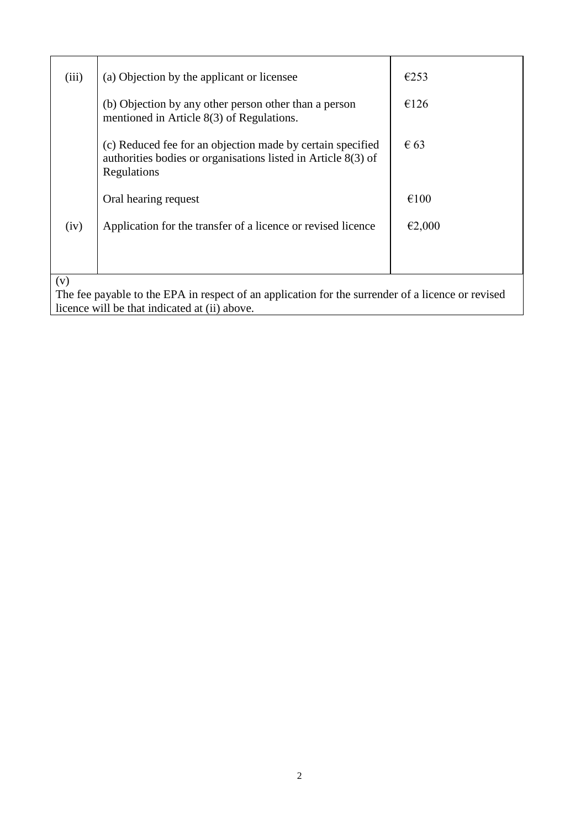| (iii)                                                                                                                                                     | (a) Objection by the applicant or licensee                                                                                                 | $\epsilon$ 253 |
|-----------------------------------------------------------------------------------------------------------------------------------------------------------|--------------------------------------------------------------------------------------------------------------------------------------------|----------------|
|                                                                                                                                                           | (b) Objection by any other person other than a person<br>mentioned in Article 8(3) of Regulations.                                         | €126           |
|                                                                                                                                                           | (c) Reduced fee for an objection made by certain specified<br>authorities bodies or organisations listed in Article 8(3) of<br>Regulations | $\epsilon$ 63  |
|                                                                                                                                                           | Oral hearing request                                                                                                                       | €100           |
| (iv)                                                                                                                                                      | Application for the transfer of a licence or revised licence                                                                               | €2,000         |
|                                                                                                                                                           |                                                                                                                                            |                |
| (v)<br>The fee payable to the EPA in respect of an application for the surrender of a licence or revised<br>licence will be that indicated at (ii) above. |                                                                                                                                            |                |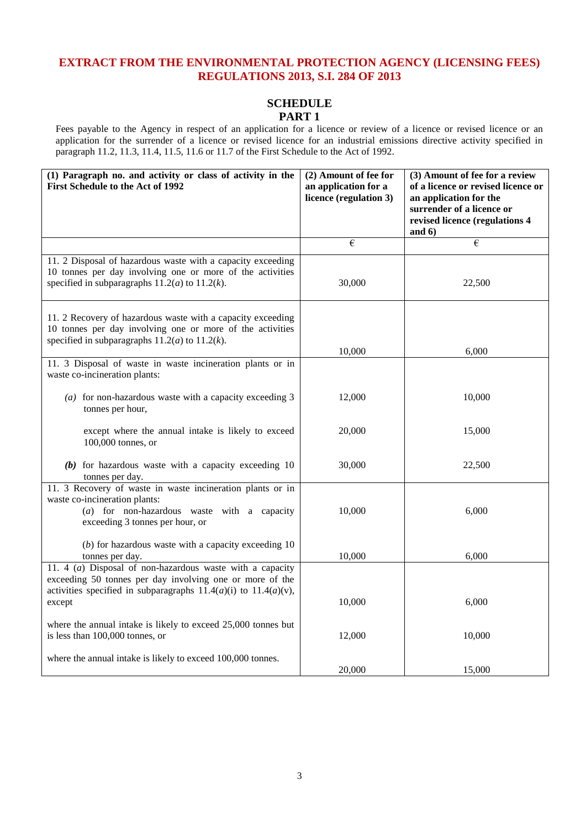### **EXTRACT FROM THE ENVIRONMENTAL PROTECTION AGENCY (LICENSING FEES) REGULATIONS 2013, S.I. 284 OF 2013**

# **SCHEDULE**

### **PART 1**

Fees payable to the Agency in respect of an application for a licence or review of a licence or revised licence or an application for the surrender of a licence or revised licence for an industrial emissions directive activity specified in paragraph 11.2, 11.3, 11.4, 11.5, 11.6 or 11.7 of the First Schedule to the Act of 1992.

| (1) Paragraph no. and activity or class of activity in the<br>First Schedule to the Act of 1992                                                                                                             | (2) Amount of fee for<br>an application for a<br>licence (regulation 3) | (3) Amount of fee for a review<br>of a licence or revised licence or<br>an application for the<br>surrender of a licence or<br>revised licence (regulations 4<br>and $6)$ |
|-------------------------------------------------------------------------------------------------------------------------------------------------------------------------------------------------------------|-------------------------------------------------------------------------|---------------------------------------------------------------------------------------------------------------------------------------------------------------------------|
|                                                                                                                                                                                                             | €                                                                       | €                                                                                                                                                                         |
| 11. 2 Disposal of hazardous waste with a capacity exceeding<br>10 tonnes per day involving one or more of the activities<br>specified in subparagraphs $11.2(a)$ to $11.2(k)$ .                             | 30,000                                                                  | 22,500                                                                                                                                                                    |
| 11. 2 Recovery of hazardous waste with a capacity exceeding<br>10 tonnes per day involving one or more of the activities<br>specified in subparagraphs $11.2(a)$ to $11.2(k)$ .                             | 10,000                                                                  | 6,000                                                                                                                                                                     |
| 11. 3 Disposal of waste in waste incineration plants or in<br>waste co-incineration plants:                                                                                                                 |                                                                         |                                                                                                                                                                           |
| (a) for non-hazardous waste with a capacity exceeding $3$<br>tonnes per hour,                                                                                                                               | 12,000                                                                  | 10,000                                                                                                                                                                    |
| except where the annual intake is likely to exceed<br>100,000 tonnes, or                                                                                                                                    | 20,000                                                                  | 15,000                                                                                                                                                                    |
| $(b)$ for hazardous waste with a capacity exceeding 10<br>tonnes per day.                                                                                                                                   | 30,000                                                                  | 22,500                                                                                                                                                                    |
| 11. 3 Recovery of waste in waste incineration plants or in<br>waste co-incineration plants:<br>$(a)$ for non-hazardous waste with a capacity<br>exceeding 3 tonnes per hour, or                             | 10,000                                                                  | 6,000                                                                                                                                                                     |
| $(b)$ for hazardous waste with a capacity exceeding 10<br>tonnes per day.                                                                                                                                   | 10,000                                                                  | 6,000                                                                                                                                                                     |
| 11. 4 ( $a$ ) Disposal of non-hazardous waste with a capacity<br>exceeding 50 tonnes per day involving one or more of the<br>activities specified in subparagraphs $11.4(a)(i)$ to $11.4(a)(v)$ ,<br>except | 10,000                                                                  | 6,000                                                                                                                                                                     |
| where the annual intake is likely to exceed 25,000 tonnes but<br>is less than 100,000 tonnes, or                                                                                                            | 12,000                                                                  | 10,000                                                                                                                                                                    |
| where the annual intake is likely to exceed 100,000 tonnes.                                                                                                                                                 | 20,000                                                                  | 15,000                                                                                                                                                                    |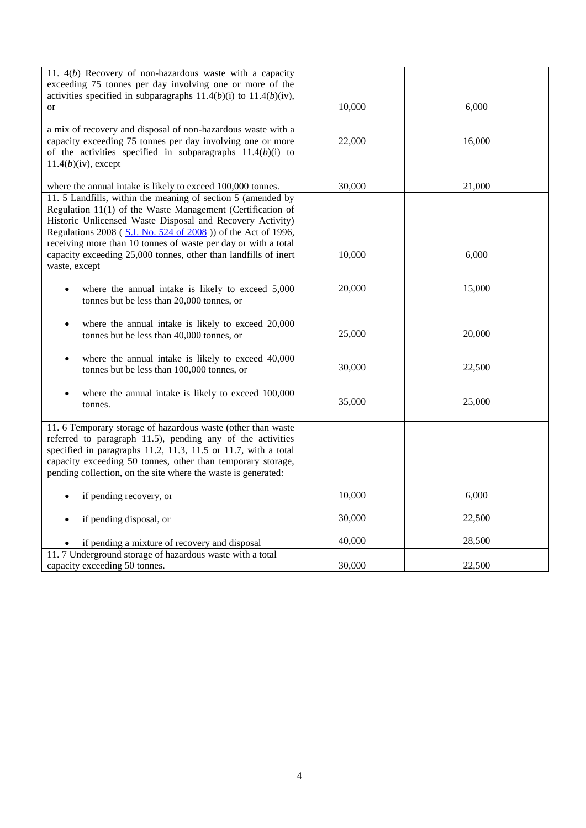| 11. $4(b)$ Recovery of non-hazardous waste with a capacity<br>exceeding 75 tonnes per day involving one or more of the<br>activities specified in subparagraphs $11.4(b)(i)$ to $11.4(b)(iv)$ ,                                                                                                                              |        |        |
|------------------------------------------------------------------------------------------------------------------------------------------------------------------------------------------------------------------------------------------------------------------------------------------------------------------------------|--------|--------|
| or                                                                                                                                                                                                                                                                                                                           | 10,000 | 6,000  |
| a mix of recovery and disposal of non-hazardous waste with a<br>capacity exceeding 75 tonnes per day involving one or more<br>of the activities specified in subparagraphs $11.4(b)(i)$ to<br>$11.4(b)$ (iv), except                                                                                                         | 22,000 | 16,000 |
| where the annual intake is likely to exceed 100,000 tonnes.                                                                                                                                                                                                                                                                  | 30,000 | 21,000 |
| 11. 5 Landfills, within the meaning of section 5 (amended by<br>Regulation 11(1) of the Waste Management (Certification of<br>Historic Unlicensed Waste Disposal and Recovery Activity)<br>Regulations 2008 (S.I. No. 524 of 2008) of the Act of 1996,                                                                       |        |        |
| receiving more than 10 tonnes of waste per day or with a total<br>capacity exceeding 25,000 tonnes, other than landfills of inert<br>waste, except                                                                                                                                                                           | 10,000 | 6,000  |
| where the annual intake is likely to exceed 5,000<br>tonnes but be less than 20,000 tonnes, or                                                                                                                                                                                                                               | 20,000 | 15,000 |
| where the annual intake is likely to exceed 20,000<br>٠<br>tonnes but be less than 40,000 tonnes, or                                                                                                                                                                                                                         | 25,000 | 20,000 |
| where the annual intake is likely to exceed 40,000<br>$\bullet$<br>tonnes but be less than 100,000 tonnes, or                                                                                                                                                                                                                | 30,000 | 22,500 |
| where the annual intake is likely to exceed 100,000<br>tonnes.                                                                                                                                                                                                                                                               | 35,000 | 25,000 |
| 11. 6 Temporary storage of hazardous waste (other than waste<br>referred to paragraph 11.5), pending any of the activities<br>specified in paragraphs 11.2, 11.3, 11.5 or 11.7, with a total<br>capacity exceeding 50 tonnes, other than temporary storage,<br>pending collection, on the site where the waste is generated: |        |        |
| if pending recovery, or                                                                                                                                                                                                                                                                                                      | 10,000 | 6,000  |
| if pending disposal, or                                                                                                                                                                                                                                                                                                      | 30,000 | 22,500 |
| if pending a mixture of recovery and disposal                                                                                                                                                                                                                                                                                | 40,000 | 28,500 |
| 11.7 Underground storage of hazardous waste with a total                                                                                                                                                                                                                                                                     |        |        |
| capacity exceeding 50 tonnes.                                                                                                                                                                                                                                                                                                | 30,000 | 22,500 |